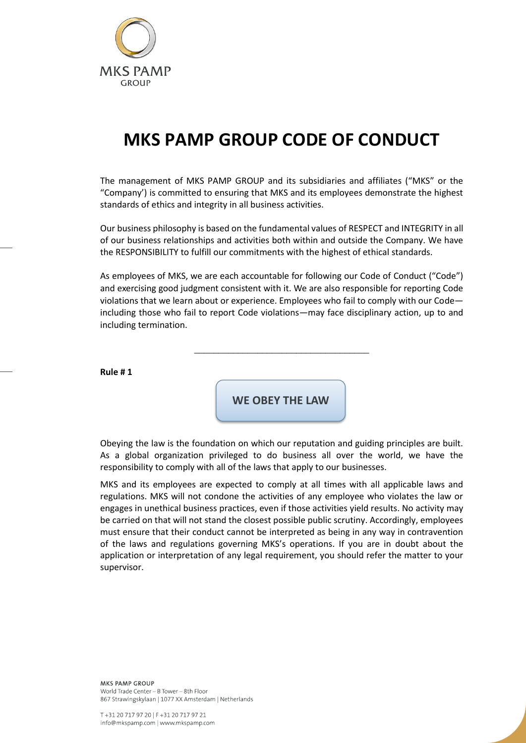

# **MKS PAMP GROUP CODE OF CONDUCT**

The management of MKS PAMP GROUP and its subsidiaries and affiliates ("MKS" or the "Company') is committed to ensuring that MKS and its employees demonstrate the highest standards of ethics and integrity in all business activities.

Our business philosophy is based on the fundamental values of RESPECT and INTEGRITY in all of our business relationships and activities both within and outside the Company. We have the RESPONSIBILITY to fulfill our commitments with the highest of ethical standards.

As employees of MKS, we are each accountable for following our Code of Conduct ("Code") and exercising good judgment consistent with it. We are also responsible for reporting Code violations that we learn about or experience. Employees who fail to comply with our Code including those who fail to report Code violations—may face disciplinary action, up to and including termination.

\_\_\_\_\_\_\_\_\_\_\_\_\_\_\_\_\_\_\_\_\_\_\_\_\_\_\_\_\_\_\_\_\_\_\_\_

**Rule # 1**

**WE OBEY THE LAW**

Obeying the law is the foundation on which our reputation and guiding principles are built. As a global organization privileged to do business all over the world, we have the responsibility to comply with all of the laws that apply to our businesses.

MKS and its employees are expected to comply at all times with all applicable laws and regulations. MKS will not condone the activities of any employee who violates the law or engages in unethical business practices, even if those activities yield results. No activity may be carried on that will not stand the closest possible public scrutiny. Accordingly, employees must ensure that their conduct cannot be interpreted as being in any way in contravention of the laws and regulations governing MKS's operations. If you are in doubt about the application or interpretation of any legal requirement, you should refer the matter to your supervisor.

**MKS PAMP GROUP** World Trade Center - B Tower - 8th Floor 867 Strawingskylaan | 1077 XX Amsterdam | Netherlands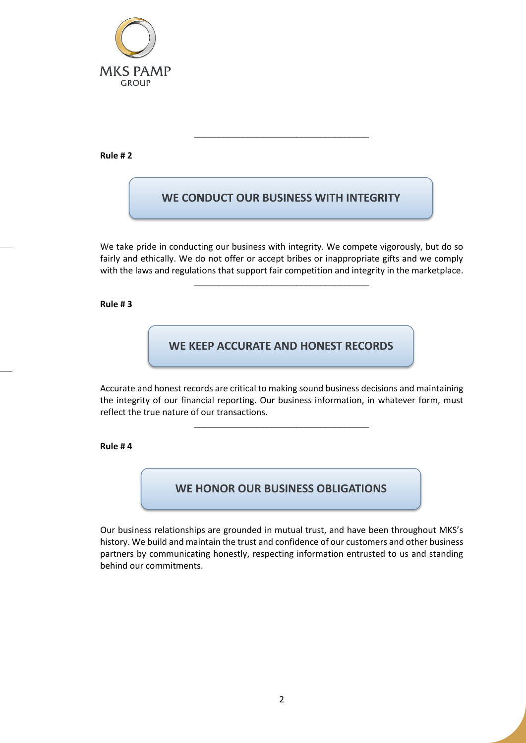

**Rule # 2**

# **WE CONDUCT OUR BUSINESS WITH INTEGRITY**

\_\_\_\_\_\_\_\_\_\_\_\_\_\_\_\_\_\_\_\_\_\_\_\_\_\_\_\_\_\_\_\_\_\_\_\_

We take pride in conducting our business with integrity. We compete vigorously, but do so fairly and ethically. We do not offer or accept bribes or inappropriate gifts and we comply with the laws and regulations that support fair competition and integrity in the marketplace.

\_\_\_\_\_\_\_\_\_\_\_\_\_\_\_\_\_\_\_\_\_\_\_\_\_\_\_\_\_\_\_\_\_\_\_\_

## **Rule # 3**

## **WE KEEP ACCURATE AND HONEST RECORDS**

Accurate and honest records are critical to making sound business decisions and maintaining the integrity of our financial reporting. Our business information, in whatever form, must reflect the true nature of our transactions.

\_\_\_\_\_\_\_\_\_\_\_\_\_\_\_\_\_\_\_\_\_\_\_\_\_\_\_\_\_\_\_\_\_\_\_\_

## **Rule # 4**

# **WE HONOR OUR BUSINESS OBLIGATIONS**

Our business relationships are grounded in mutual trust, and have been throughout MKS's history. We build and maintain the trust and confidence of our customers and other business partners by communicating honestly, respecting information entrusted to us and standing behind our commitments.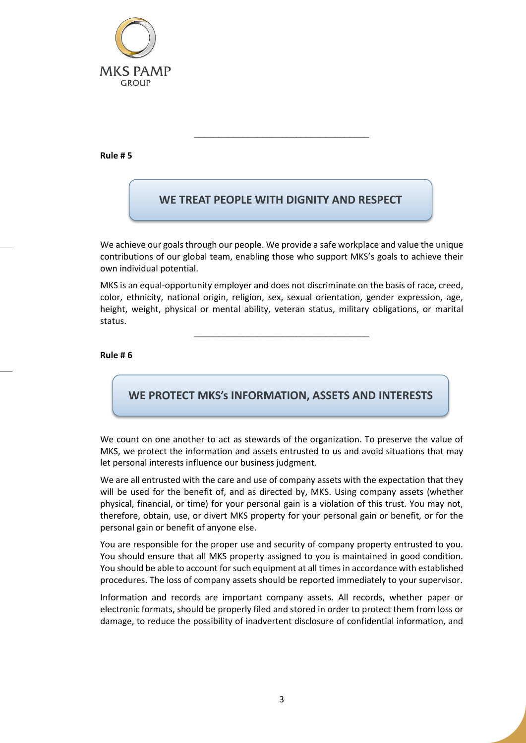

**Rule # 5**

# **WE TREAT PEOPLE WITH DIGNITY AND RESPECT**

\_\_\_\_\_\_\_\_\_\_\_\_\_\_\_\_\_\_\_\_\_\_\_\_\_\_\_\_\_\_\_\_\_\_\_\_

We achieve our goals through our people. We provide a safe workplace and value the unique contributions of our global team, enabling those who support MKS's goals to achieve their own individual potential.

MKS is an equal-opportunity employer and does not discriminate on the basis of race, creed, color, ethnicity, national origin, religion, sex, sexual orientation, gender expression, age, height, weight, physical or mental ability, veteran status, military obligations, or marital status.

\_\_\_\_\_\_\_\_\_\_\_\_\_\_\_\_\_\_\_\_\_\_\_\_\_\_\_\_\_\_\_\_\_\_\_\_

**Rule # 6**

## **WE PROTECT MKS's INFORMATION, ASSETS AND INTERESTS**

We count on one another to act as stewards of the organization. To preserve the value of MKS, we protect the information and assets entrusted to us and avoid situations that may let personal interests influence our business judgment.

We are all entrusted with the care and use of company assets with the expectation that they will be used for the benefit of, and as directed by, MKS. Using company assets (whether physical, financial, or time) for your personal gain is a violation of this trust. You may not, therefore, obtain, use, or divert MKS property for your personal gain or benefit, or for the personal gain or benefit of anyone else.

You are responsible for the proper use and security of company property entrusted to you. You should ensure that all MKS property assigned to you is maintained in good condition. You should be able to account for such equipment at all times in accordance with established procedures. The loss of company assets should be reported immediately to your supervisor.

Information and records are important company assets. All records, whether paper or electronic formats, should be properly filed and stored in order to protect them from loss or damage, to reduce the possibility of inadvertent disclosure of confidential information, and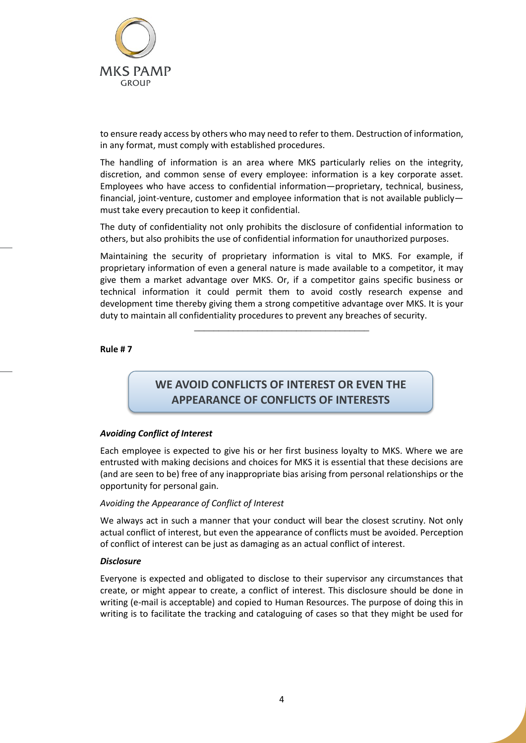

to ensure ready access by others who may need to refer to them. Destruction of information, in any format, must comply with established procedures.

The handling of information is an area where MKS particularly relies on the integrity, discretion, and common sense of every employee: information is a key corporate asset. Employees who have access to confidential information—proprietary, technical, business, financial, joint-venture, customer and employee information that is not available publicly must take every precaution to keep it confidential.

The duty of confidentiality not only prohibits the disclosure of confidential information to others, but also prohibits the use of confidential information for unauthorized purposes.

Maintaining the security of proprietary information is vital to MKS. For example, if proprietary information of even a general nature is made available to a competitor, it may give them a market advantage over MKS. Or, if a competitor gains specific business or technical information it could permit them to avoid costly research expense and development time thereby giving them a strong competitive advantage over MKS. It is your duty to maintain all confidentiality procedures to prevent any breaches of security.

\_\_\_\_\_\_\_\_\_\_\_\_\_\_\_\_\_\_\_\_\_\_\_\_\_\_\_\_\_\_\_\_\_\_\_\_

**Rule # 7**

# **WE AVOID CONFLICTS OF INTEREST OR EVEN THE APPEARANCE OF CONFLICTS OF INTERESTS**

## *Avoiding Conflict of Interest*

Each employee is expected to give his or her first business loyalty to MKS. Where we are entrusted with making decisions and choices for MKS it is essential that these decisions are (and are seen to be) free of any inappropriate bias arising from personal relationships or the opportunity for personal gain.

## *Avoiding the Appearance of Conflict of Interest*

We always act in such a manner that your conduct will bear the closest scrutiny. Not only actual conflict of interest, but even the appearance of conflicts must be avoided. Perception of conflict of interest can be just as damaging as an actual conflict of interest.

## *Disclosure*

Everyone is expected and obligated to disclose to their supervisor any circumstances that create, or might appear to create, a conflict of interest. This disclosure should be done in writing (e-mail is acceptable) and copied to Human Resources. The purpose of doing this in writing is to facilitate the tracking and cataloguing of cases so that they might be used for